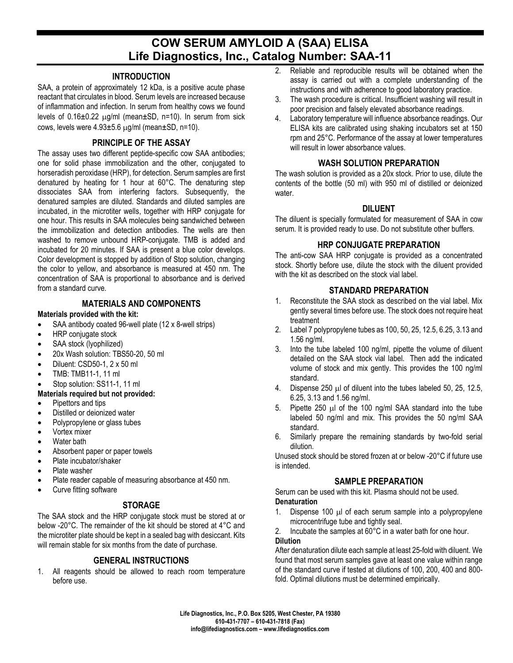# **COW SERUM AMYLOID A (SAA) ELISA Life Diagnostics, Inc., Catalog Number: SAA-11**

#### **INTRODUCTION**

SAA, a protein of approximately 12 kDa, is a positive acute phase reactant that circulates in blood. Serum levels are increased because of inflammation and infection. In serum from healthy cows we found levels of  $0.16\pm0.22$   $\mu$ g/ml (mean $\pm$ SD, n=10). In serum from sick cows, levels were  $4.93\pm5.6$   $\mu$ g/ml (mean $\pm$ SD, n=10).

# **PRINCIPLE OF THE ASSAY**

The assay uses two different peptide-specific cow SAA antibodies; one for solid phase immobilization and the other, conjugated to horseradish peroxidase (HRP), for detection. Serum samples are first denatured by heating for 1 hour at 60°C. The denaturing step dissociates SAA from interfering factors. Subsequently, the denatured samples are diluted. Standards and diluted samples are incubated, in the microtiter wells, together with HRP conjugate for one hour. This results in SAA molecules being sandwiched between the immobilization and detection antibodies. The wells are then washed to remove unbound HRP-conjugate. TMB is added and incubated for 20 minutes. If SAA is present a blue color develops. Color development is stopped by addition of Stop solution, changing the color to yellow, and absorbance is measured at 450 nm. The concentration of SAA is proportional to absorbance and is derived from a standard curve.

# **MATERIALS AND COMPONENTS**

#### **Materials provided with the kit:**

- SAA antibody coated 96-well plate (12 x 8-well strips)
- HRP conjugate stock
- SAA stock (lyophilized)
- 20x Wash solution: TBS50-20, 50 ml
- Diluent: CSD50-1, 2 x 50 ml
- TMB: TMB11-1, 11 ml
- Stop solution: SS11-1, 11 ml

#### **Materials required but not provided:**

- Pipettors and tips
- Distilled or deionized water
- Polypropylene or glass tubes
- Vortex mixer
- Water bath
- Absorbent paper or paper towels
- Plate incubator/shaker
- Plate washer
- Plate reader capable of measuring absorbance at 450 nm.
- Curve fitting software

# **STORAGE**

The SAA stock and the HRP conjugate stock must be stored at or below -20°C. The remainder of the kit should be stored at 4°C and the microtiter plate should be kept in a sealed bag with desiccant. Kits will remain stable for six months from the date of purchase.

#### **GENERAL INSTRUCTIONS**

1. All reagents should be allowed to reach room temperature before use.

- 2. Reliable and reproducible results will be obtained when the assay is carried out with a complete understanding of the instructions and with adherence to good laboratory practice.
- 3. The wash procedure is critical. Insufficient washing will result in poor precision and falsely elevated absorbance readings.
- 4. Laboratory temperature will influence absorbance readings. Our ELISA kits are calibrated using shaking incubators set at 150 rpm and 25°C. Performance of the assay at lower temperatures will result in lower absorbance values.

#### **WASH SOLUTION PREPARATION**

The wash solution is provided as a 20x stock. Prior to use, dilute the contents of the bottle (50 ml) with 950 ml of distilled or deionized water.

#### **DILUENT**

The diluent is specially formulated for measurement of SAA in cow serum. It is provided ready to use. Do not substitute other buffers.

#### **HRP CONJUGATE PREPARATION**

The anti-cow SAA HRP conjugate is provided as a concentrated stock. Shortly before use, dilute the stock with the diluent provided with the kit as described on the stock vial label.

# **STANDARD PREPARATION**

- 1. Reconstitute the SAA stock as described on the vial label. Mix gently several times before use. The stock does not require heat treatment
- 2. Label 7 polypropylene tubes as 100, 50, 25, 12.5, 6.25, 3.13 and 1.56 ng/ml.
- 3. Into the tube labeled 100 ng/ml, pipette the volume of diluent detailed on the SAA stock vial label. Then add the indicated volume of stock and mix gently. This provides the 100 ng/ml standard.
- 4. Dispense 250 µl of diluent into the tubes labeled 50, 25, 12.5, 6.25, 3.13 and 1.56 ng/ml.
- 5. Pipette 250 µl of the 100 ng/ml SAA standard into the tube labeled 50 ng/ml and mix. This provides the 50 ng/ml SAA standard.
- 6. Similarly prepare the remaining standards by two-fold serial dilution.

Unused stock should be stored frozen at or below -20°C if future use is intended.

# **SAMPLE PREPARATION**

Serum can be used with this kit. Plasma should not be used. **Denaturation**

- 1. Dispense 100 µl of each serum sample into a polypropylene microcentrifuge tube and tightly seal.
- 2. Incubate the samples at 60°C in a water bath for one hour. **Dilution**

After denaturation dilute each sample at least 25-fold with diluent. We found that most serum samples gave at least one value within range of the standard curve if tested at dilutions of 100, 200, 400 and 800 fold. Optimal dilutions must be determined empirically.

**Life Diagnostics, Inc., P.O. Box 5205, West Chester, PA 19380 610-431-7707 – 610-431-7818 (Fax) info@lifediagnostics.com – www.lifediagnostics.com**